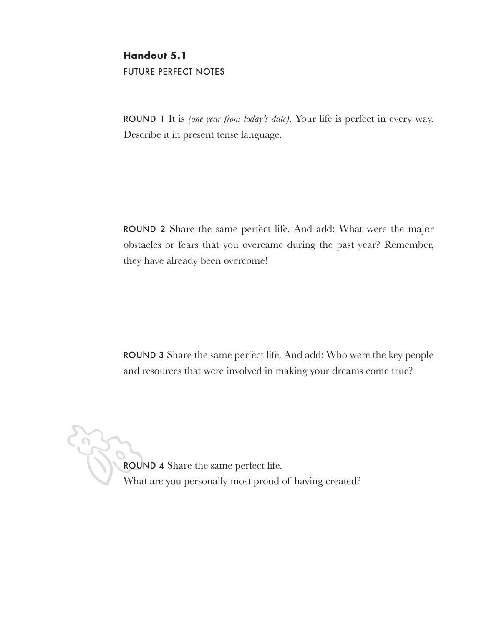# **Handout 5.1 FUTURE PERFECT NOTES**

**ROUND** 1 It is *(one year from today's date)*. Your life is perfect in every way. Describe it in present tense language.

ROUND 2 Share the same perfect life. And add: What were the major obstacles or fears that you overcame during the past year? Remember, they have already been overcome!

**ROUND 3** Share the same perfect life. And add: Who were the key people and resources that were involved in making your dreams come true?

ROUND 4 Share the same perfect life. What are you personally most proud of having created?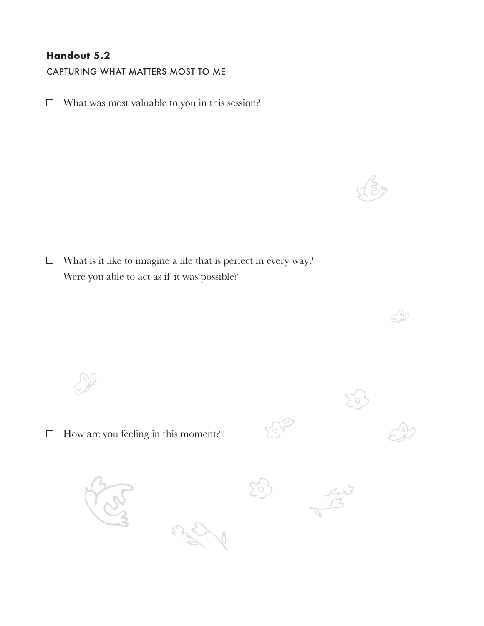# **Handout 5.2**

CAPTURING WHAT MATTERS MOST TO ME

 $\Box$  What was most valuable to you in this session?

 $\Box$  What is it like to imagine a life that is perfect in every way? Were you able to act as if it was possible?

 $\Box$  How are you feeling in this moment?

 $50^{11}_{21}$ 

 $\sum_{i=1}^{n}$ 

351



 $\mathcal{L}$ 

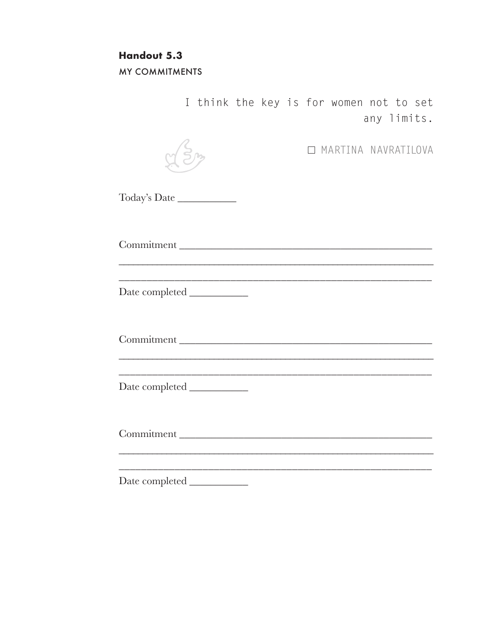# **Handout 5.3**

**MY COMMITMENTS** 

I think the key is for women not to set any limits.

**IN MARTINA NAVRATILOVA** 

Today's Date

Commitment 

Commitment

Date completed

Commitment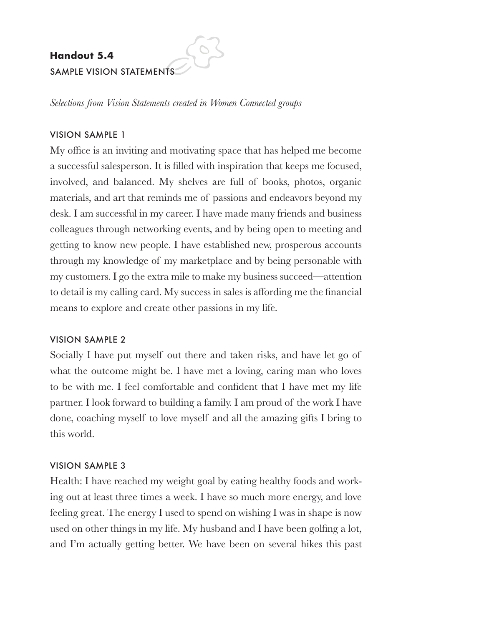# **Handout 5.4**

## SAMPLE VISION STATEMENTS

*Selections from Vision Statements created in Women Connected groups*

## **VISION SAMPLE 1**

My office is an inviting and motivating space that has helped me become a successful salesperson. It is filled with inspiration that keeps me focused, involved, and balanced. My shelves are full of books, photos, organic materials, and art that reminds me of passions and endeavors beyond my desk. I am successful in my career. I have made many friends and business colleagues through networking events, and by being open to meeting and getting to know new people. I have established new, prosperous accounts through my knowledge of my marketplace and by being personable with my customers. I go the extra mile to make my business succeed––attention to detail is my calling card. My success in sales is affording me the financial means to explore and create other passions in my life.

#### **VISION SAMPLE 2**

Socially I have put myself out there and taken risks, and have let go of what the outcome might be. I have met a loving, caring man who loves to be with me. I feel comfortable and confident that I have met my life partner. I look forward to building a family. I am proud of the work I have done, coaching myself to love myself and all the amazing gifts I bring to this world.

## **VISION SAMPLE 3**

Health: I have reached my weight goal by eating healthy foods and working out at least three times a week. I have so much more energy, and love feeling great. The energy I used to spend on wishing I was in shape is now used on other things in my life. My husband and I have been golfing a lot, and I'm actually getting better. We have been on several hikes this past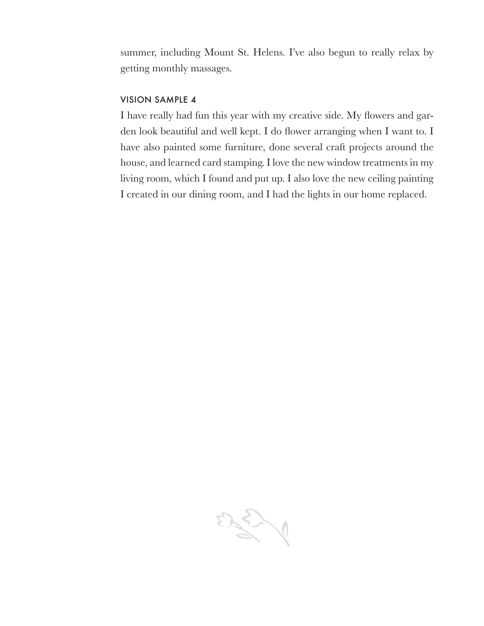summer, including Mount St. Helens. I've also begun to really relax by getting monthly massages.

#### **VISION SAMPLE 4**

I have really had fun this year with my creative side. My flowers and garden look beautiful and well kept. I do flower arranging when I want to. I have also painted some furniture, done several craft projects around the house, and learned card stamping. I love the new window treatments in my living room, which I found and put up. I also love the new ceiling painting I created in our dining room, and I had the lights in our home replaced.

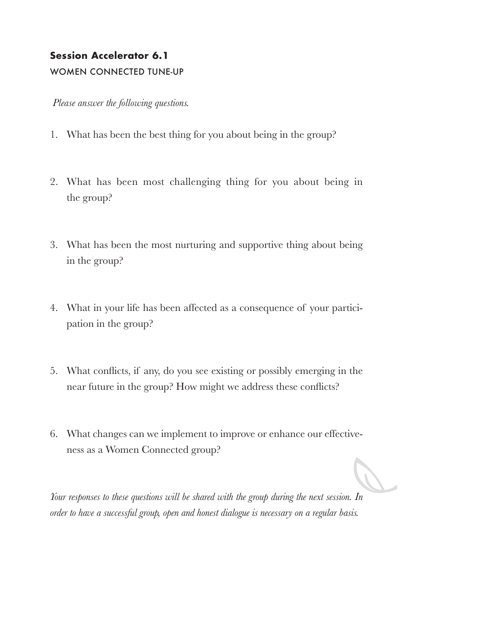# **Session Accelerator 6.1**

## WOMEN CONNECTED TUNE-UP

 *Please answer the following questions.*

- 1. What has been the best thing for you about being in the group?
- 2. What has been most challenging thing for you about being in the group?
- 3. What has been the most nurturing and supportive thing about being in the group?
- 4. What in your life has been affected as a consequence of your participation in the group?
- 5. What conflicts, if any, do you see existing or possibly emerging in the near future in the group? How might we address these conflicts?
- 6. What changes can we implement to improve or enhance our effectiveness as a Women Connected group?

*Your responses to these questions will be shared with the group during the next session. In order to have a successful group, open and honest dialogue is necessary on a regular basis.*